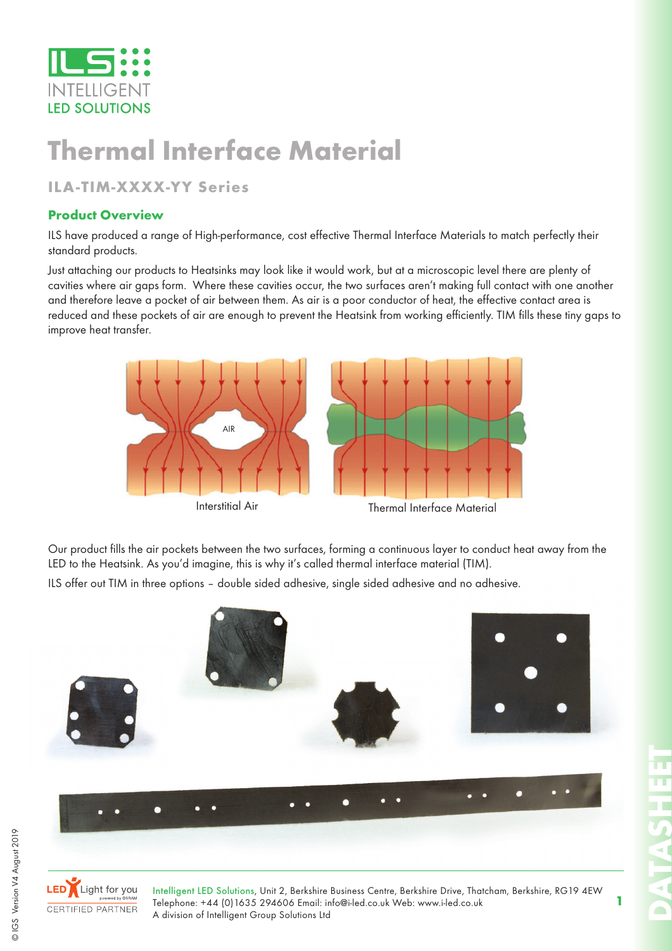

# **Thermal Interface Material**

### **ILA-TIM-XXXX-YY Series**

#### **Product Overview**

ILS have produced a range of High-performance, cost effective Thermal Interface Materials to match perfectly their standard products.

Just attaching our products to Heatsinks may look like it would work, but at a microscopic level there are plenty of cavities where air gaps form. Where these cavities occur, the two surfaces aren't making full contact with one another and therefore leave a pocket of air between them. As air is a poor conductor of heat, the effective contact area is reduced and these pockets of air are enough to prevent the Heatsink from working efficiently. TIM fills these tiny gaps to improve heat transfer.



Our product fills the air pockets between the two surfaces, forming a continuous layer to conduct heat away from the LED to the Heatsink. As you'd imagine, this is why it's called thermal interface material (TIM).

ILS offer out TIM in three options – double sided adhesive, single sided adhesive and no adhesive.



**1**



Intelligent LED Solutions, Unit 2, Berkshire Business Centre, Berkshire Drive, Thatcham, Berkshire, RG19 4EW Telephone: +44 (0)1635 294606 Email: info@i-led.co.uk Web: www.i-led.co.uk A division of Intelligent Group Solutions Ltd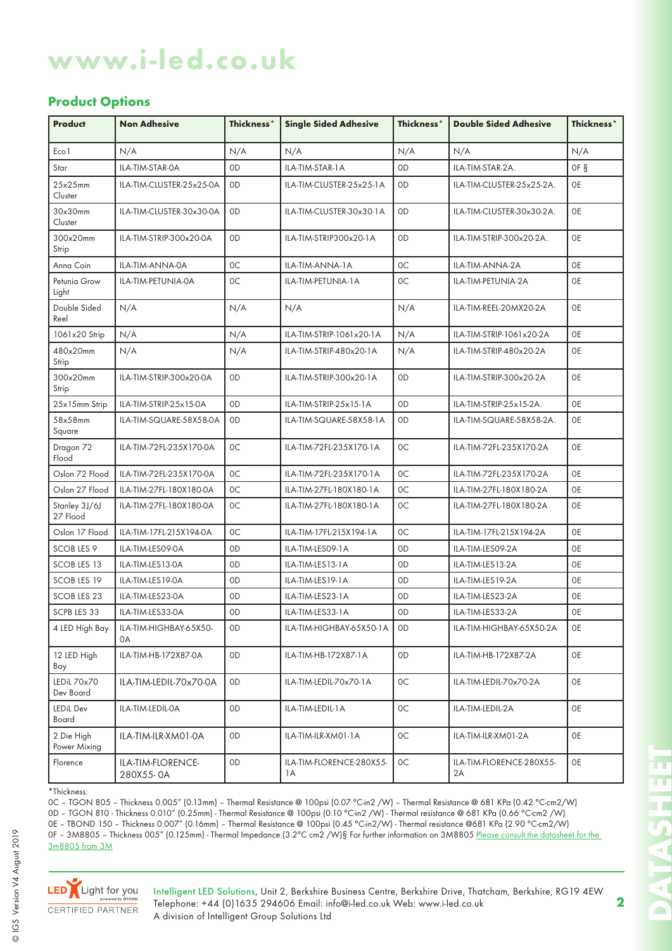## **www.i-led.co.uk**

#### **Product Options**

| <b>Product</b>             | <b>Non Adhesive</b>            | Thickness*     | <b>Single Sided Adhesive</b>    | Thickness*     | <b>Double Sided Adhesive</b>   | Thickness* |
|----------------------------|--------------------------------|----------------|---------------------------------|----------------|--------------------------------|------------|
| Eco1                       | N/A                            | N/A            | N/A                             | N/A            | N/A                            | N/A        |
| Star                       | ILA-TIM-STAR-0A                | 0 <sub>D</sub> | ILA-TIM-STAR-1A                 | 0 <sub>D</sub> | ILA-TIM-STAR-2A.               | OF §       |
| 25x25mm<br>Cluster         | ILA-TIM-CLUSTER-25x25-0A       | 0D             | ILA-TIM-CLUSTER-25x25-1A        | 0 <sub>D</sub> | ILA-TIM-CLUSTER-25x25-2A.      | 0E         |
| 30x30mm<br>Cluster         | ILA-TIM-CLUSTER-30x30-0A       | 0D             | ILA-TIM-CLUSTER-30x30-1A        | 0 <sub>D</sub> | ILA-TIM-CLUSTER-30x30-2A.      | 0E         |
| 300x20mm<br>Strip          | ILA-TIM-STRIP-300x20-0A        | 0D             | ILA-TIM-STRIP300x20-1A          | 0 <sub>D</sub> | ILA-TIM-STRIP-300x20-2A.       | 0E         |
| Anna Coin                  | ILA-TIM-ANNA-0A                | 0C             | ILA-TIM-ANNA-1A                 | 0C             | ILA-TIM-ANNA-2A                | <b>OE</b>  |
| Petunia Grow<br>Light      | ILA-TIM-PETUNIA-0A             | 0C             | ILA-TIM-PETUNIA-1A              | 0C             | ILA-TIM-PETUNIA-2A             | <b>OE</b>  |
| Double Sided<br>Reel       | N/A                            | N/A            | N/A                             | N/A            | ILA-TIM-REEL-20MX20-2A         | <b>OE</b>  |
| 1061x20 Strip              | N/A                            | N/A            | ILA-TIM-STRIP-1061x20-1A        | N/A            | ILA-TIM-STRIP-1061x20-2A       | <b>OE</b>  |
| 480x20mm<br>Strip          | N/A                            | N/A            | ILA-TIM-STRIP-480x20-1A         | N/A            | ILA-TIM-STRIP-480x20-2A        | <b>OE</b>  |
| 300x20mm<br>Strip          | ILA-TIM-STRIP-300x20-0A        | 0 <sub>D</sub> | ILA-TIM-STRIP-300x20-1A         | 0 <sub>D</sub> | ILA-TIM-STRIP-300x20-2A        | <b>OE</b>  |
| 25x15mm Strip              | ILA-TIM-STRIP-25x15-0A         | 0D             | ILA-TIM-STRIP-25x15-1A          | 0 <sub>D</sub> | ILA-TIM-STRIP-25x15-2A.        | <b>OE</b>  |
| 58x58mm<br>Square          | ILA-TIM-SQUARE-58X58-0A        | 0 <sub>D</sub> | ILA-TIM-SQUARE-58X58-1A         | 0 <sub>D</sub> | ILA-TIM-SQUARE-58X58-2A.       | <b>OE</b>  |
| Dragon 72<br>Flood         | ILA-TIM-72FL-235X170-0A        | 0C             | ILA-TIM-72FL-235X170-1A         | 0C             | ILA-TIM-72FL-235X170-2A        | <b>OE</b>  |
| Oslon 72 Flood             | ILA-TIM-72FL-235X170-0A        | 0C             | ILA-TIM-72FL-235X170-1A         | 0C             | ILA-TIM-72FL-235X170-2A        | <b>OE</b>  |
| Oslon 27 Flood             | ILA-TIM-27FL-180X180-0A        | 0C             | ILA-TIM-27FL-180X180-1A         | 0C             | ILA-TIM-27FL-180X180-2A        | <b>OE</b>  |
| Stanley 3J/6J<br>27 Flood  | ILA-TIM-27FL-180X180-0A        | 0C             | ILA-TIM-27FL-180X180-1A         | 0C             | ILA-TIM-27FL-180X180-2A        | <b>OE</b>  |
| Oslon 17 Flood             | ILA-TIM-17FL-215X194-0A        | 0C             | ILA-TIM-17FL-215X194-1A         | 0C             | ILA-TIM-17FL-215X194-2A        | <b>OE</b>  |
| <b>SCOB LES 9</b>          | ILA-TIM-LES09-0A               | 0D             | ILA-TIM-LES09-1A                | 0 <sub>D</sub> | ILA-TIM-LES09-2A               | <b>OE</b>  |
| <b>SCOB LES 13</b>         | ILA-TIM-LES13-0A               | 0D             | ILA-TIM-LES13-1A                | 0 <sub>D</sub> | ILA-TIM-LES13-2A               | <b>OE</b>  |
| <b>SCOB LES 19</b>         | ILA-TIM-LES19-0A               | 0D             | ILA-TIM-LES19-1A                | 0 <sub>D</sub> | ILA-TIM-LES19-2A               | <b>OE</b>  |
| <b>SCOB LES 23</b>         | ILA-TIM-LES23-0A               | 0 <sub>D</sub> | ILA-TIM-LES23-1A                | 0 <sub>D</sub> | ILA-TIM-LES23-2A               | 0E         |
| SCPB LES 33                | ILA-TIM-LES33-0A               | 0D             | ILA-TIM-LES33-1A                | 0 <sub>D</sub> | ILA-TIM-LES33-2A               | <b>OE</b>  |
| 4 LED High Bay             | ILA-TIM-HIGHBAY-65X50-<br>0A   | 0D             | ILA-TIM-HIGHBAY-65X50-1A        | 0D             | ILA-TIM-HIGHBAY-65X50-2A       | 0E         |
| 12 LED High<br>Bay         | ILA-TIM-HB-172X87-0A           | 0D             | ILA-TIM-HB-172X87-1A            | 0 <sub>D</sub> | ILA-TIM-HB-172X87-2A           | 0E         |
| LEDiL 70x70<br>Dev Board   | ILA-TIM-LEDIL-70x70-0A         | 0D             | ILA-TIM-LEDIL-70x70-1A          | 0C             | ILA-TIM-LEDIL-70x70-2A         | 0E         |
| LEDiL Dev<br>Board         | ILA-TIM-LEDIL-0A               | 0D             | ILA-TIM-LEDIL-1A                | 0C             | ILA-TIM-LEDIL-2A               | 0E         |
| 2 Die High<br>Power Mixing | ILA-TIM-ILR-XM01-0A            | 0D             | ILA-TIM-ILR-XM01-1A             | 0C             | ILA-TIM-ILR-XM01-2A            | 0E         |
| Florence                   | ILA-TIM-FLORENCE-<br>280X55-0A | 0D             | ILA-TIM-FLORENCE-280X55-<br>1 A | 0C             | ILA-TIM-FLORENCE-280X55-<br>2A | 0E         |

\*Thickness:

0C – TGON 805 – Thickness 0.005" (0.13mm) – Thermal Resistance @ 100psi (0.07 °C-in2 /W) – Thermal Resistance @ 681 KPa (0.42 °C-cm2/W) 0D – TGON 810 - Thickness 0.010" (0.25mm) - Thermal Resistance @ 100psi (0.10 °C-in2 /W) - Thermal resistance @ 681 KPa (0.66 °C-cm2 /W) 0E – TBOND 150 – Thickness 0.007" (0.16mm) – Thermal Resistance @ 100psi (0.45 °C-in2/W) - Thermal resistance @681 KPa (2.90 °C-cm2/W) 0F – 3M8805 – Thickness 005" (0.125mm) - Thermal Impedance (3.2°C cm2 /W)§ For further information on 3M8805 <u>Please consult the datasheet for the</u>

3m8805 from 3M



Intelligent LED Solutions, Unit 2, Berkshire Business Centre, Berkshire Drive, Thatcham, Berkshire, RG19 4EW Telephone: +44 (0)1635 294606 Email: info@i-led.co.uk Web: www.i-led.co.uk A division of Intelligent Group Solutions Ltd

**2**